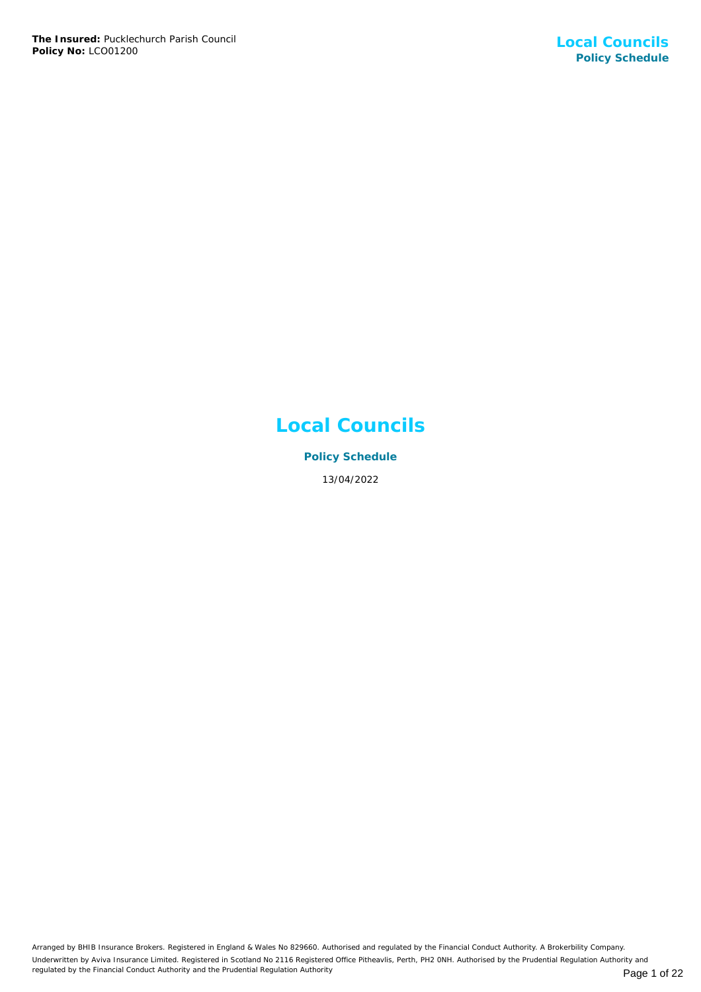# **Local Councils**

**Policy Schedule** 13/04/2022

Arranged by BHIB Insurance Brokers. Registered in England & Wales No 829660. Authorised and regulated by the Financial Conduct Authority. A Brokerbility Company. Underwritten by Aviva Insurance Limited. Registered in Scotland No 2116 Registered Office Pitheavlis, Perth, PH2 0NH. Authorised by the Prudential Regulation Authority and regulated by the Financial Conduct Authority and the Prudential Regulation Authority **Page 1 of 22** Page 1 of 22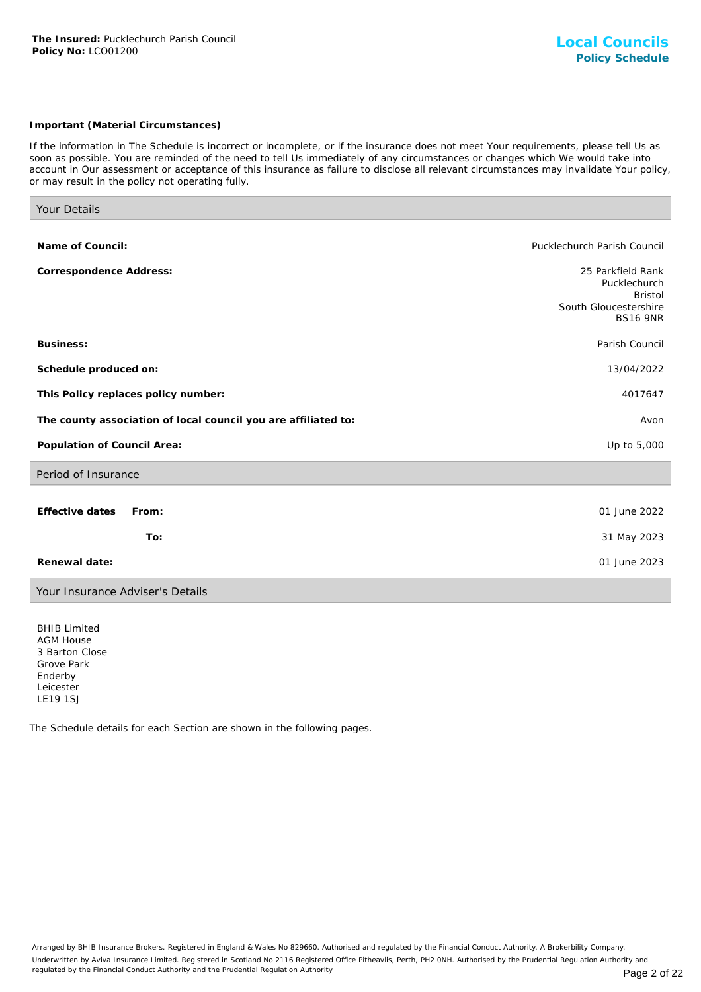## *Important (Material Circumstances)*

*If the information in The Schedule is incorrect or incomplete, or if the insurance does not meet Your requirements, please tell Us as soon as possible. You are reminded of the need to tell Us immediately of any circumstances or changes which We would take into account in Our assessment or acceptance of this insurance as failure to disclose all relevant circumstances may invalidate Your policy, or may result in the policy not operating fully.*

| Your Details                                                   |                                                                                                 |
|----------------------------------------------------------------|-------------------------------------------------------------------------------------------------|
|                                                                |                                                                                                 |
| Name of Council:                                               | Pucklechurch Parish Council                                                                     |
| Correspondence Address:                                        | 25 Parkfield Rank<br>Pucklechurch<br><b>Bristol</b><br>South Gloucestershire<br><b>BS16 9NR</b> |
| Business:                                                      | Parish Council                                                                                  |
| Schedule produced on:                                          | 13/04/2022                                                                                      |
| This Policy replaces policy number:                            | 4017647                                                                                         |
| The county association of local council you are affiliated to: | Avon                                                                                            |
| Population of Council Area:                                    | Up to 5,000                                                                                     |
| Period of Insurance                                            |                                                                                                 |
| <b>Effective dates</b><br>From:<br>To:                         | 01 June 2022<br>31 May 2023                                                                     |
|                                                                |                                                                                                 |
| Renewal date:                                                  | 01 June 2023                                                                                    |
| Your Insurance Adviser's Details                               |                                                                                                 |

BHIB Limited AGM House 3 Barton Close Grove Park Enderby Leicester LE19 1SJ

The Schedule details for each Section are shown in the following pages.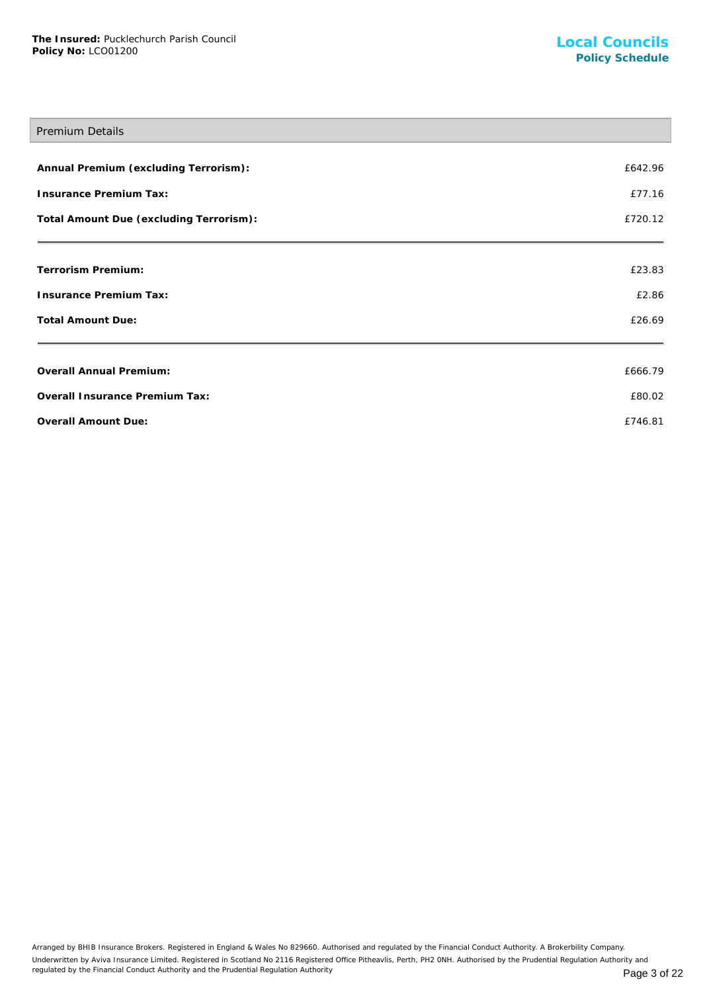## Premium Details

| Annual Premium (excluding Terrorism):   | £642.96 |
|-----------------------------------------|---------|
| Insurance Premium Tax:                  | £77.16  |
| Total Amount Due (excluding Terrorism): | £720.12 |
| Terrorism Premium:                      | £23.83  |
| Insurance Premium Tax:                  | £2.86   |
| <b>Total Amount Due:</b>                | £26.69  |
| Overall Annual Premium:                 | £666.79 |
| Overall Insurance Premium Tax:          | £80.02  |
| Overall Amount Due:                     | £746.81 |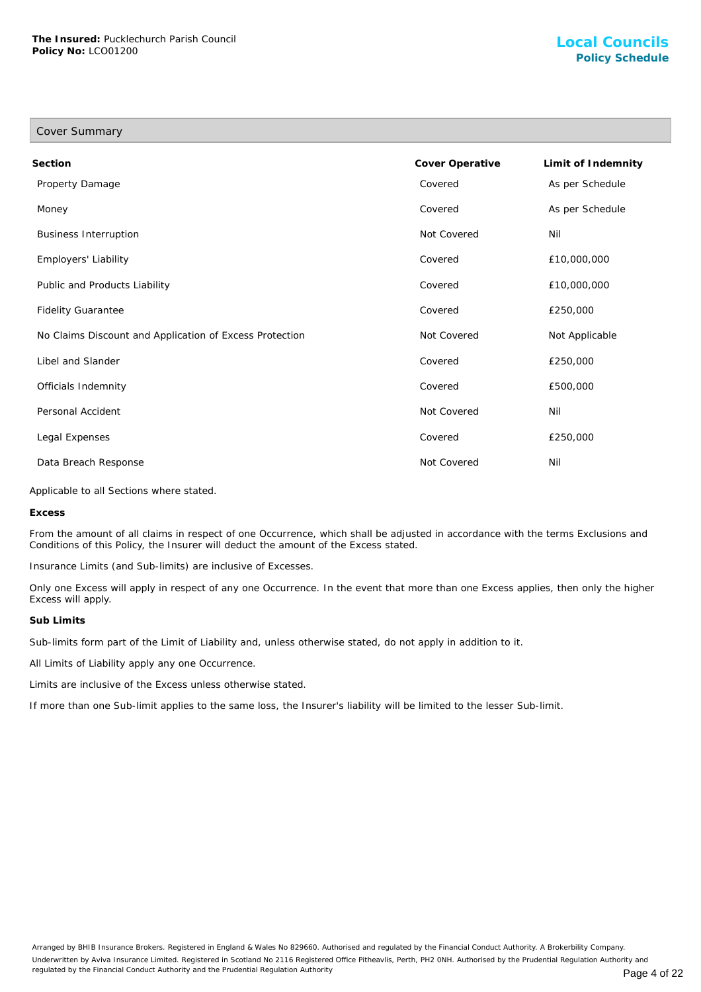| Cover Summary                                           |                 |                    |
|---------------------------------------------------------|-----------------|--------------------|
| Section                                                 | Cover Operative | Limit of Indemnity |
| Property Damage                                         | Covered         | As per Schedule    |
| Money                                                   | Covered         | As per Schedule    |
| <b>Business Interruption</b>                            | Not Covered     | Nil                |
| Employers' Liability                                    | Covered         | £10,000,000        |
| Public and Products Liability                           | Covered         | £10,000,000        |
| <b>Fidelity Guarantee</b>                               | Covered         | £250,000           |
| No Claims Discount and Application of Excess Protection | Not Covered     | Not Applicable     |
| Libel and Slander                                       | Covered         | £250,000           |
| Officials Indemnity                                     | Covered         | £500,000           |
| Personal Accident                                       | Not Covered     | Nil                |
| Legal Expenses                                          | Covered         | £250,000           |
| Data Breach Response                                    | Not Covered     | Nil                |

Applicable to all Sections where stated.

**Excess**

From the amount of all claims in respect of one Occurrence, which shall be adjusted in accordance with the terms Exclusions and Conditions of this Policy, the Insurer will deduct the amount of the Excess stated.

Insurance Limits (and Sub-limits) are inclusive of Excesses.

Only one Excess will apply in respect of any one Occurrence. In the event that more than one Excess applies, then only the higher Excess will apply.

#### **Sub Limits**

Sub-limits form part of the Limit of Liability and, unless otherwise stated, do not apply in addition to it.

All Limits of Liability apply any one Occurrence.

Limits are inclusive of the Excess unless otherwise stated.

If more than one Sub-limit applies to the same loss, the Insurer's liability will be limited to the lesser Sub-limit.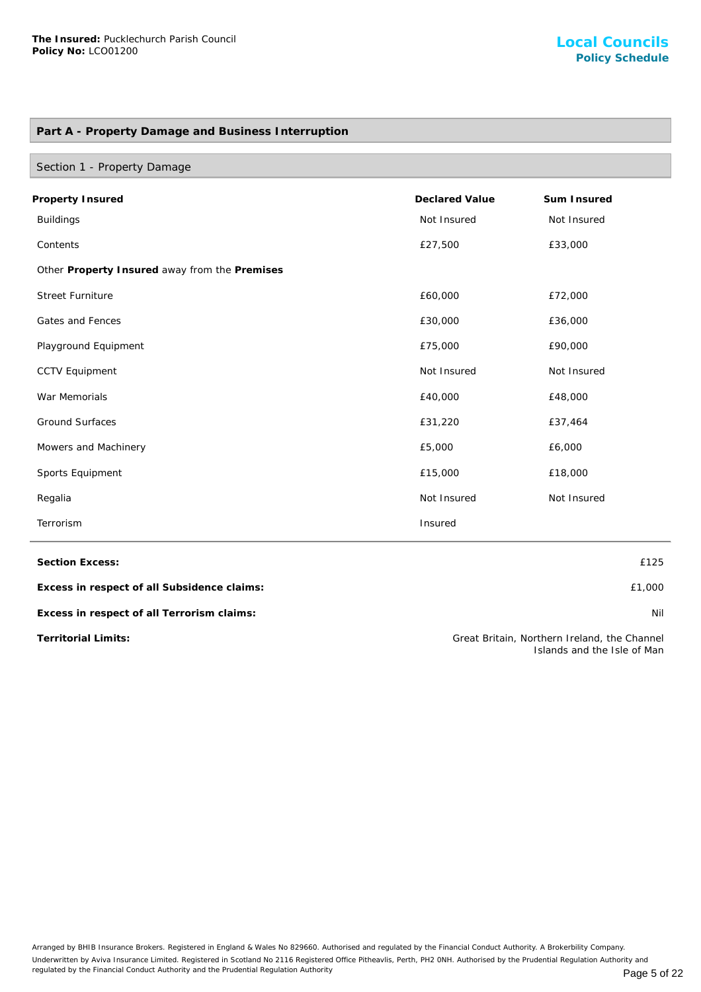# **Part A - Property Damage and Business Interruption**

| Section 1 - Property Damage                   |                       |             |
|-----------------------------------------------|-----------------------|-------------|
| Property Insured                              | <b>Declared Value</b> | Sum Insured |
| <b>Buildings</b>                              | Not Insured           | Not Insured |
| Contents                                      | £27,500               | £33,000     |
| Other Property Insured away from the Premises |                       |             |
| <b>Street Furniture</b>                       | £60,000               | £72,000     |
| Gates and Fences                              | £30,000               | £36,000     |
| Playground Equipment                          | £75,000               | £90,000     |
| <b>CCTV Equipment</b>                         | Not Insured           | Not Insured |
| War Memorials                                 | £40,000               | £48,000     |
| <b>Ground Surfaces</b>                        | £31,220               | £37,464     |
| Mowers and Machinery                          | £5,000                | £6,000      |
| Sports Equipment                              | £15,000               | £18,000     |
| Regalia                                       | Not Insured           | Not Insured |
| Terrorism                                     | Insured               |             |

**Section Excess:** £125

**Excess in respect of all Subsidence claims:** £1,000

**Excess in respect of all Terrorism claims:** Nil

**Territorial Limits:** Great Britain, Northern Ireland, the Channel Islands and the Isle of Man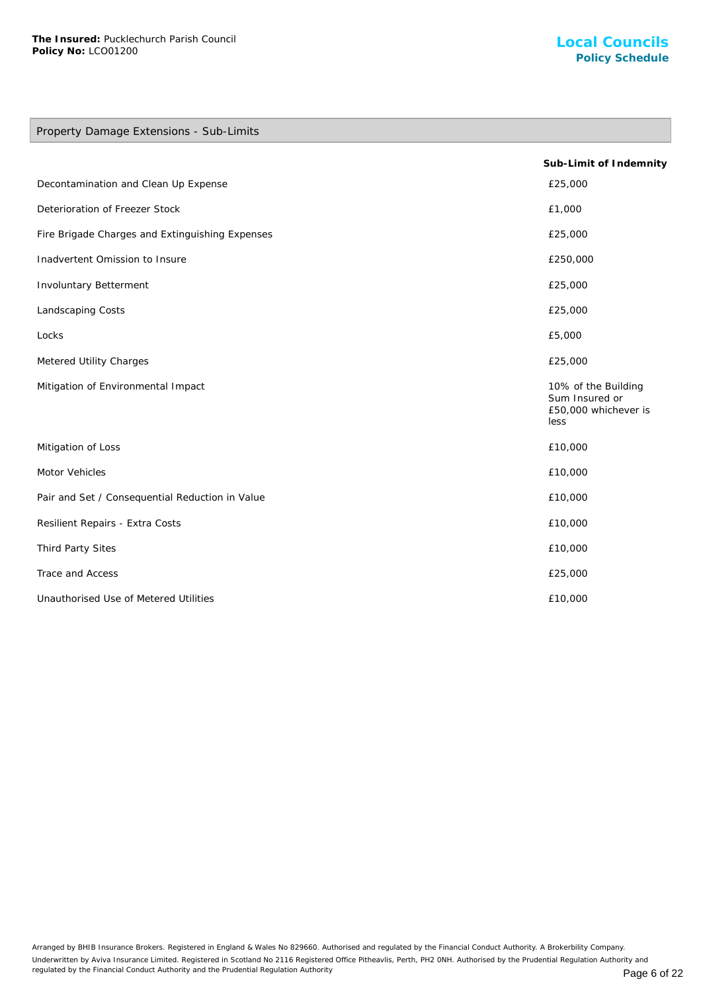# Property Damage Extensions - Sub-Limits

|                                                 | Sub-Limit of Indemnity                                                |
|-------------------------------------------------|-----------------------------------------------------------------------|
| Decontamination and Clean Up Expense            | £25,000                                                               |
| Deterioration of Freezer Stock                  | £1,000                                                                |
| Fire Brigade Charges and Extinguishing Expenses | £25,000                                                               |
| Inadvertent Omission to Insure                  | £250,000                                                              |
| Involuntary Betterment                          | £25,000                                                               |
| Landscaping Costs                               | £25,000                                                               |
| Locks                                           | £5,000                                                                |
| Metered Utility Charges                         | £25,000                                                               |
| Mitigation of Environmental Impact              | 10% of the Building<br>Sum Insured or<br>£50,000 whichever is<br>less |
| Mitigation of Loss                              | £10,000                                                               |
| Motor Vehicles                                  | £10,000                                                               |
| Pair and Set / Consequential Reduction in Value | £10,000                                                               |
| Resilient Repairs - Extra Costs                 | £10,000                                                               |
| Third Party Sites                               | £10,000                                                               |
| Trace and Access                                | £25,000                                                               |
| Unauthorised Use of Metered Utilities           | £10,000                                                               |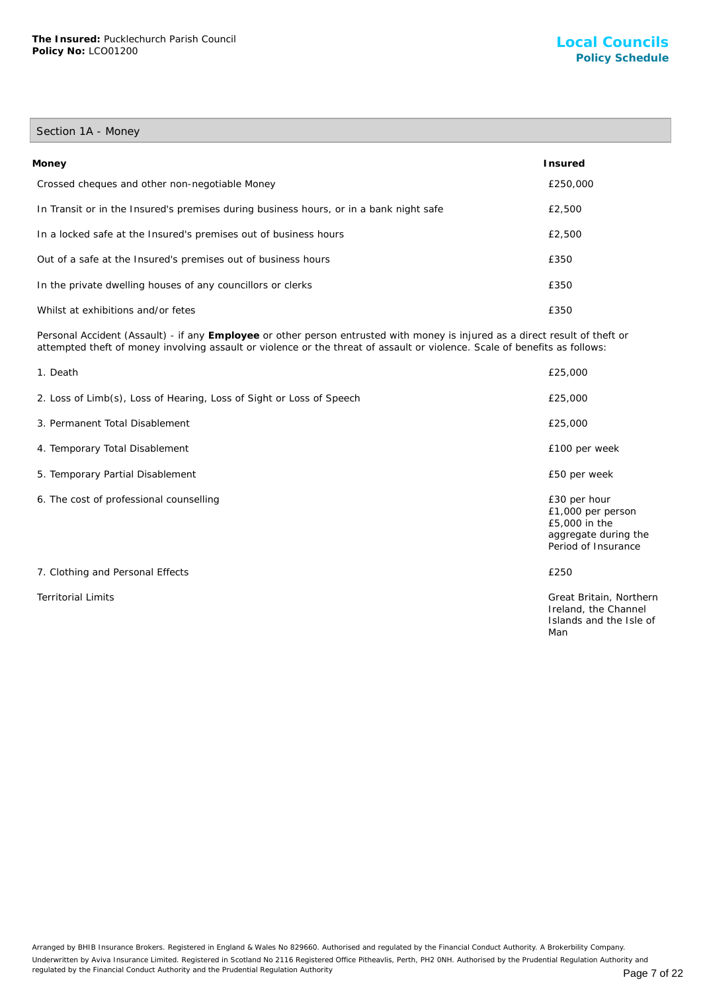## Section 1A - Money

| Money                                                                                  | <b>Insured</b> |
|----------------------------------------------------------------------------------------|----------------|
| Crossed cheques and other non-negotiable Money                                         | £250,000       |
| In Transit or in the Insured's premises during business hours, or in a bank night safe | £2,500         |
| In a locked safe at the Insured's premises out of business hours                       | £2,500         |
| Out of a safe at the Insured's premises out of business hours                          | £350           |
| In the private dwelling houses of any councillors or clerks                            | £350           |
| Whilst at exhibitions and/or fetes                                                     | £350           |

Personal Accident (Assault) - if any **Employee** or other person entrusted with money is injured as a direct result of theft or attempted theft of money involving assault or violence or the threat of assault or violence. Scale of benefits as follows:

| 1. Death                                                             | £25,000                                                                                           |
|----------------------------------------------------------------------|---------------------------------------------------------------------------------------------------|
| 2. Loss of Limb(s), Loss of Hearing, Loss of Sight or Loss of Speech | £25,000                                                                                           |
| 3. Permanent Total Disablement                                       | £25,000                                                                                           |
| 4. Temporary Total Disablement                                       | £100 per week                                                                                     |
| 5. Temporary Partial Disablement                                     | £50 per week                                                                                      |
| 6. The cost of professional counselling                              | £30 per hour<br>£1,000 per person<br>£5,000 in the<br>aggregate during the<br>Period of Insurance |
| 7. Clothing and Personal Effects                                     | £250                                                                                              |
| <b>Territorial Limits</b>                                            | Great Britain, Northern<br>Ireland, the Channel<br>Islands and the Isle of<br>Man                 |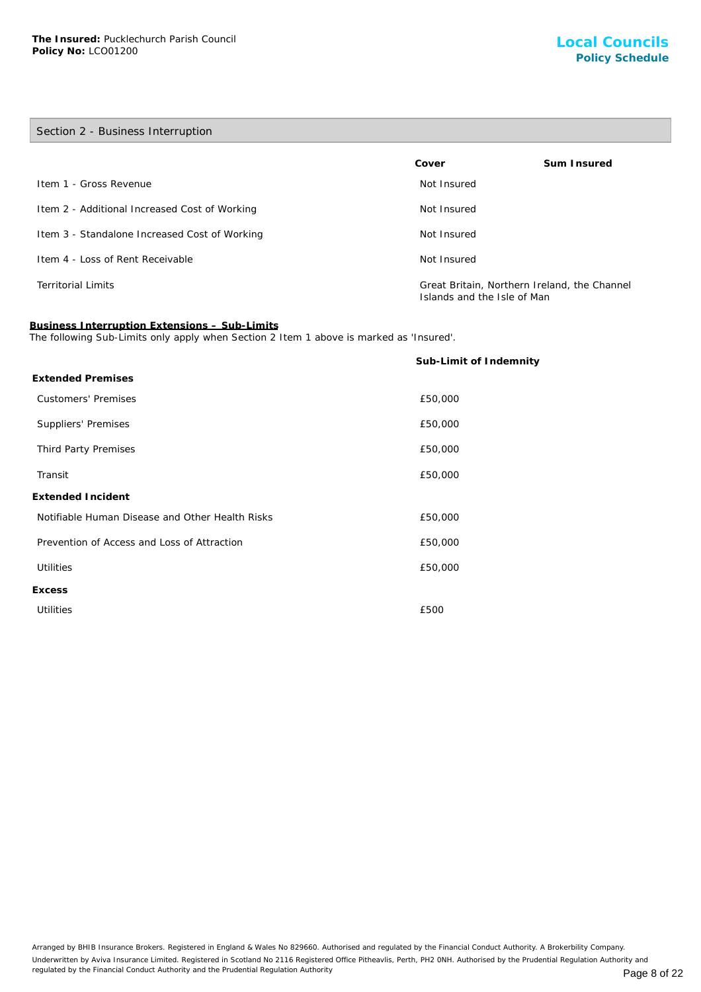## Section 2 - Business Interruption

|                                               | Cover                                                                       | Sum Insured |
|-----------------------------------------------|-----------------------------------------------------------------------------|-------------|
| Item 1 - Gross Revenue                        | Not Insured                                                                 |             |
| Item 2 - Additional Increased Cost of Working | Not Insured                                                                 |             |
| Item 3 - Standalone Increased Cost of Working | Not Insured                                                                 |             |
| Item 4 - Loss of Rent Receivable              | Not Insured                                                                 |             |
| <b>Territorial Limits</b>                     | Great Britain, Northern Ireland, the Channel<br>Islands and the Isle of Man |             |

# **Business Interruption Extensions – Sub-Limits**

The following Sub-Limits only apply when Section 2 Item 1 above is marked as 'Insured'.

|                                                 | Sub-Limit of Indemnity |
|-------------------------------------------------|------------------------|
| <b>Extended Premises</b>                        |                        |
| <b>Customers' Premises</b>                      | £50,000                |
| Suppliers' Premises                             | £50,000                |
| Third Party Premises                            | £50,000                |
| Transit                                         | £50,000                |
| Extended Incident                               |                        |
| Notifiable Human Disease and Other Health Risks | £50,000                |
| Prevention of Access and Loss of Attraction     | £50,000                |
| <b>Utilities</b>                                | £50,000                |
| <b>Excess</b>                                   |                        |
| <b>Utilities</b>                                | £500                   |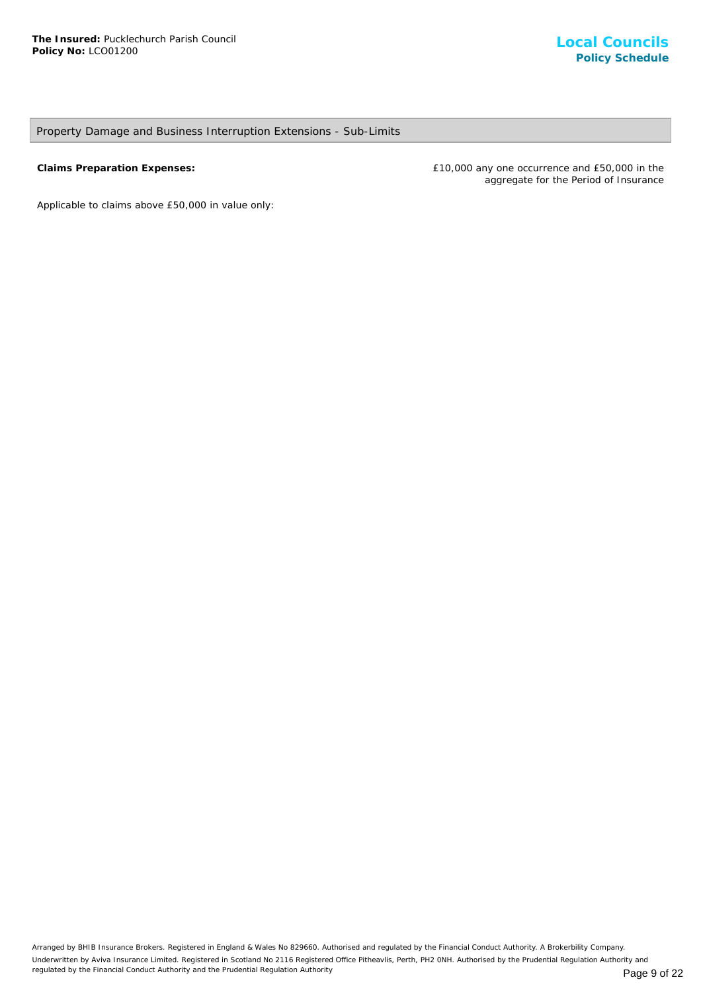## Property Damage and Business Interruption Extensions - Sub-Limits

**Claims Preparation Expenses:** £10,000 any one occurrence and £50,000 in the aggregate for the Period of Insurance

*Applicable to claims above £50,000 in value only*: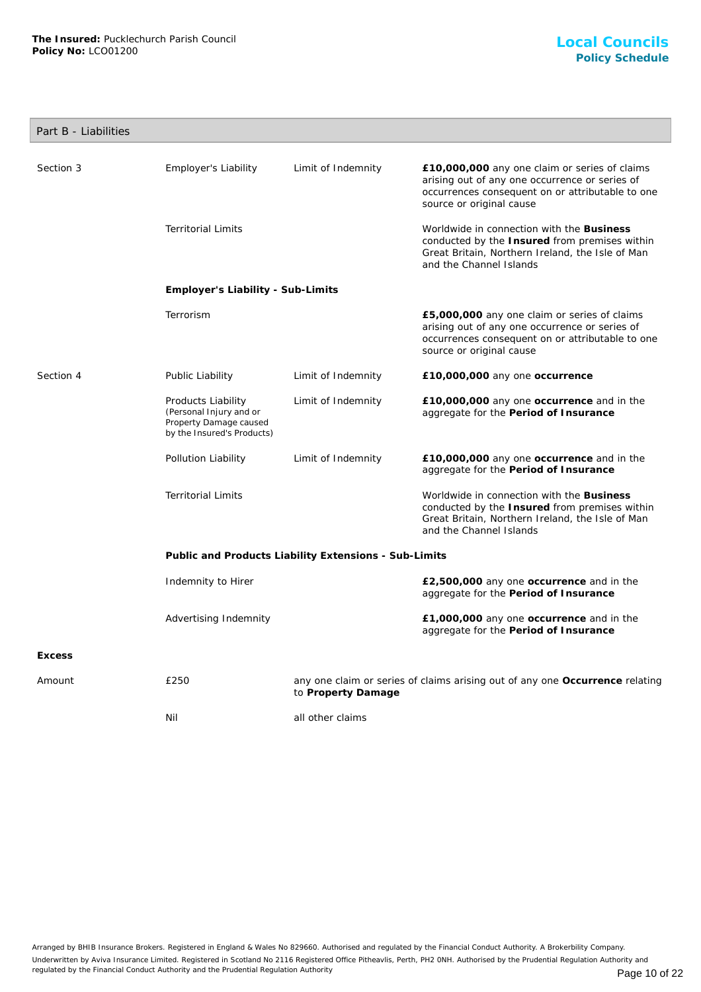## Part B - Liabilities

| Section 3     | Employer's Liability                                                                                  | Limit of Indemnity | £10,000,000 any one claim or series of claims<br>arising out of any one occurrence or series of<br>occurrences consequent on or attributable to one<br>source or original cause |  |
|---------------|-------------------------------------------------------------------------------------------------------|--------------------|---------------------------------------------------------------------------------------------------------------------------------------------------------------------------------|--|
|               | <b>Territorial Limits</b>                                                                             |                    | Worldwide in connection with the Business<br>conducted by the Insured from premises within<br>Great Britain, Northern Ireland, the Isle of Man<br>and the Channel Islands       |  |
|               | Employer's Liability - Sub-Limits                                                                     |                    |                                                                                                                                                                                 |  |
|               | Terrorism                                                                                             |                    | £5,000,000 any one claim or series of claims<br>arising out of any one occurrence or series of<br>occurrences consequent on or attributable to one<br>source or original cause  |  |
| Section 4     | Public Liability                                                                                      | Limit of Indemnity | £10,000,000 any one occurrence                                                                                                                                                  |  |
|               | Products Liability<br>(Personal Injury and or<br>Property Damage caused<br>by the Insured's Products) | Limit of Indemnity | £10,000,000 any one occurrence and in the<br>aggregate for the Period of Insurance                                                                                              |  |
|               | Pollution Liability                                                                                   | Limit of Indemnity | £10,000,000 any one occurrence and in the<br>aggregate for the Period of Insurance                                                                                              |  |
|               | <b>Territorial Limits</b>                                                                             |                    | Worldwide in connection with the Business<br>conducted by the Insured from premises within<br>Great Britain, Northern Ireland, the Isle of Man<br>and the Channel Islands       |  |
|               | Public and Products Liability Extensions - Sub-Limits                                                 |                    |                                                                                                                                                                                 |  |
|               | Indemnity to Hirer                                                                                    |                    | £2,500,000 any one occurrence and in the<br>aggregate for the Period of Insurance                                                                                               |  |
|               | Advertising Indemnity                                                                                 |                    | £1,000,000 any one occurrence and in the<br>aggregate for the Period of Insurance                                                                                               |  |
| <b>Excess</b> |                                                                                                       |                    |                                                                                                                                                                                 |  |
| Amount        | £250                                                                                                  | to Property Damage | any one claim or series of claims arising out of any one Occurrence relating                                                                                                    |  |
|               | Nil                                                                                                   | all other claims   |                                                                                                                                                                                 |  |
|               |                                                                                                       |                    |                                                                                                                                                                                 |  |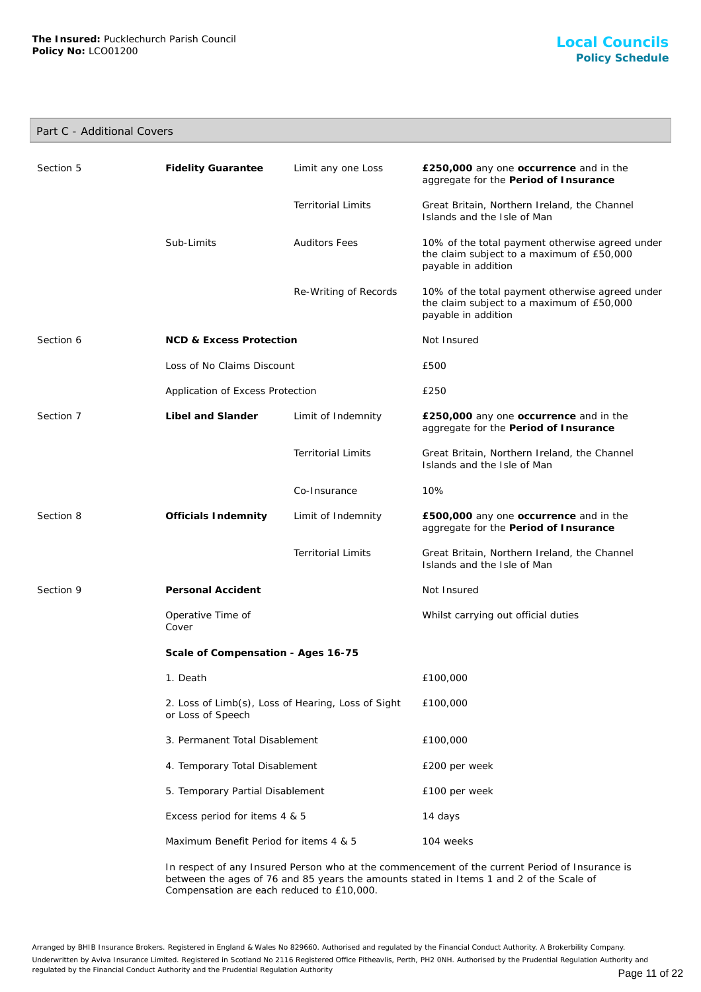# Part C - Additional Covers

| Section 5 | <b>Fidelity Guarantee</b>                                               | Limit any one Loss        | £250,000 any one occurrence and in the<br>aggregate for the Period of Insurance                                     |
|-----------|-------------------------------------------------------------------------|---------------------------|---------------------------------------------------------------------------------------------------------------------|
|           |                                                                         | <b>Territorial Limits</b> | Great Britain, Northern Ireland, the Channel<br>Islands and the Isle of Man                                         |
|           | Sub-Limits                                                              | <b>Auditors Fees</b>      | 10% of the total payment otherwise agreed under<br>the claim subject to a maximum of £50,000<br>payable in addition |
|           |                                                                         | Re-Writing of Records     | 10% of the total payment otherwise agreed under<br>the claim subject to a maximum of £50,000<br>payable in addition |
| Section 6 | <b>NCD &amp; Excess Protection</b>                                      |                           | Not Insured                                                                                                         |
|           | Loss of No Claims Discount                                              |                           | £500                                                                                                                |
|           | Application of Excess Protection                                        |                           | £250                                                                                                                |
| Section 7 | Libel and Slander                                                       | Limit of Indemnity        | £250,000 any one occurrence and in the<br>aggregate for the Period of Insurance                                     |
|           |                                                                         | <b>Territorial Limits</b> | Great Britain, Northern Ireland, the Channel<br>Islands and the Isle of Man                                         |
|           |                                                                         | Co-Insurance              | 10%                                                                                                                 |
| Section 8 | Officials Indemnity                                                     | Limit of Indemnity        | £500,000 any one occurrence and in the<br>aggregate for the Period of Insurance                                     |
|           |                                                                         | <b>Territorial Limits</b> | Great Britain, Northern Ireland, the Channel<br>Islands and the Isle of Man                                         |
| Section 9 | Personal Accident                                                       |                           | Not Insured                                                                                                         |
|           | Operative Time of<br>Cover                                              |                           | Whilst carrying out official duties                                                                                 |
|           | Scale of Compensation - Ages 16-75                                      |                           |                                                                                                                     |
|           | 1. Death                                                                |                           | £100,000                                                                                                            |
|           | 2. Loss of Limb(s), Loss of Hearing, Loss of Sight<br>or Loss of Speech |                           | £100,000                                                                                                            |
|           | 3. Permanent Total Disablement                                          |                           | £100,000                                                                                                            |
|           | 4. Temporary Total Disablement                                          |                           | £200 per week                                                                                                       |
|           | 5. Temporary Partial Disablement                                        |                           | £100 per week                                                                                                       |
|           | Excess period for items 4 & 5                                           |                           | 14 days                                                                                                             |
|           | Maximum Benefit Period for items 4 & 5                                  |                           | 104 weeks                                                                                                           |
|           |                                                                         |                           |                                                                                                                     |

In respect of any Insured Person who at the commencement of the current Period of Insurance is between the ages of 76 and 85 years the amounts stated in Items 1 and 2 of the Scale of Compensation are each reduced to £10,000.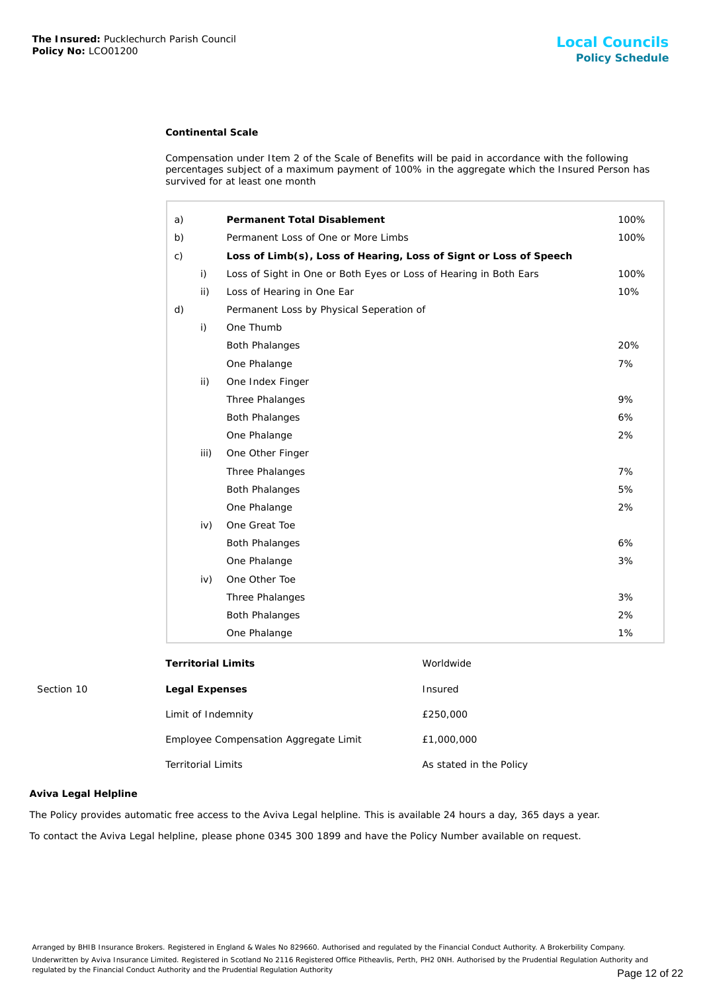## **Continental Scale**

| The Insured: Pucklechurch Parish Council<br>Policy No: LCO01200 |                           |                                                                   |                                                                                                                                                                                                    | <b>Local Council</b><br><b>Policy Schedu</b> |
|-----------------------------------------------------------------|---------------------------|-------------------------------------------------------------------|----------------------------------------------------------------------------------------------------------------------------------------------------------------------------------------------------|----------------------------------------------|
|                                                                 |                           | <b>Continental Scale</b>                                          |                                                                                                                                                                                                    |                                              |
|                                                                 |                           | survived for at least one month                                   | Compensation under Item 2 of the Scale of Benefits will be paid in accordance with the following<br>percentages subject of a maximum payment of 100% in the aggregate which the Insured Person has |                                              |
|                                                                 | a)                        | Permanent Total Disablement                                       |                                                                                                                                                                                                    | 100%                                         |
|                                                                 | b)                        | Permanent Loss of One or More Limbs                               |                                                                                                                                                                                                    | 100%                                         |
|                                                                 | $\mathsf{C}$ )            |                                                                   | Loss of Limb(s), Loss of Hearing, Loss of Signt or Loss of Speech                                                                                                                                  |                                              |
|                                                                 | i)                        | Loss of Sight in One or Both Eyes or Loss of Hearing in Both Ears |                                                                                                                                                                                                    | 100%                                         |
|                                                                 |                           | ii)<br>Loss of Hearing in One Ear                                 |                                                                                                                                                                                                    | 10%                                          |
|                                                                 | d)                        | Permanent Loss by Physical Seperation of                          |                                                                                                                                                                                                    |                                              |
|                                                                 | i)                        | One Thumb                                                         |                                                                                                                                                                                                    |                                              |
|                                                                 |                           | <b>Both Phalanges</b>                                             |                                                                                                                                                                                                    | 20%                                          |
|                                                                 |                           | One Phalange                                                      |                                                                                                                                                                                                    | 7%                                           |
|                                                                 |                           | ii)<br>One Index Finger                                           |                                                                                                                                                                                                    |                                              |
|                                                                 |                           | Three Phalanges                                                   |                                                                                                                                                                                                    | 9%                                           |
|                                                                 |                           | <b>Both Phalanges</b>                                             |                                                                                                                                                                                                    | 6%                                           |
|                                                                 |                           | One Phalange                                                      |                                                                                                                                                                                                    | 2%                                           |
|                                                                 |                           | iii)<br>One Other Finger                                          |                                                                                                                                                                                                    |                                              |
|                                                                 |                           | Three Phalanges                                                   |                                                                                                                                                                                                    | 7%                                           |
|                                                                 |                           | <b>Both Phalanges</b>                                             |                                                                                                                                                                                                    | 5%                                           |
|                                                                 |                           | One Phalange                                                      |                                                                                                                                                                                                    | 2%                                           |
|                                                                 |                           | One Great Toe<br>iv)                                              |                                                                                                                                                                                                    |                                              |
|                                                                 |                           | <b>Both Phalanges</b>                                             |                                                                                                                                                                                                    | 6%                                           |
|                                                                 |                           | One Phalange                                                      |                                                                                                                                                                                                    | 3%                                           |
|                                                                 |                           | One Other Toe<br>iv)                                              |                                                                                                                                                                                                    |                                              |
|                                                                 |                           | Three Phalanges                                                   |                                                                                                                                                                                                    | 3%                                           |
|                                                                 |                           | <b>Both Phalanges</b>                                             |                                                                                                                                                                                                    | 2%                                           |
|                                                                 |                           | One Phalange                                                      |                                                                                                                                                                                                    | 1%                                           |
|                                                                 |                           | <b>Territorial Limits</b>                                         | Worldwide                                                                                                                                                                                          |                                              |
| Section 10                                                      |                           | Legal Expenses                                                    | Insured                                                                                                                                                                                            |                                              |
|                                                                 |                           | Limit of Indemnity                                                | £250,000                                                                                                                                                                                           |                                              |
|                                                                 |                           | Employee Compensation Aggregate Limit                             | £1,000,000                                                                                                                                                                                         |                                              |
|                                                                 | <b>Territorial Limits</b> |                                                                   | As stated in the Policy                                                                                                                                                                            |                                              |
| Aviva Legal Helpline                                            |                           |                                                                   |                                                                                                                                                                                                    |                                              |
|                                                                 |                           |                                                                   | The Policy provides automatic free access to the Aviva Legal helpline. This is available 24 hours a day, 365 days a year.                                                                          |                                              |
|                                                                 |                           |                                                                   | To contact the Aviva Legal helpline, please phone 0345 300 1899 and have the Policy Number available on request.                                                                                   |                                              |

## **Aviva Legal Helpline**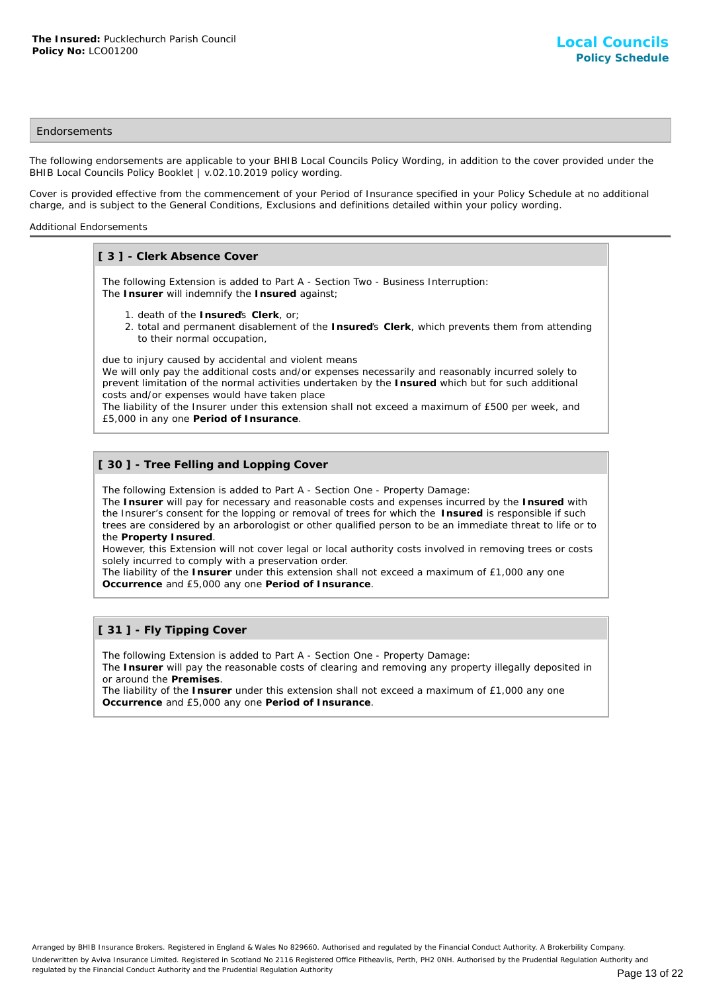## **Endorsements**

The following endorsements are applicable to your BHIB Local Councils Policy Wording, in addition to the cover provided under the BHIB Local Councils Policy Booklet | v.02.10.2019 policy wording.

Cover is provided effective from the commencement of your Period of Insurance specified in your Policy Schedule at no additional charge, and is subject to the General Conditions, Exclusions and definitions detailed within your policy wording.

#### Additional Endorsements

## **[ 3 ] - Clerk Absence Cover**

The following Extension is added to Part A - Section Two - Business Interruption: The **Insurer** will indemnify the **Insured** against;

- 1. death of the **Insured**'s **Clerk**, or;
- 2. total and permanent disablement of the Insured's Clerk, which prevents them from attending to their normal occupation,

due to injury caused by accidental and violent means

We will only pay the additional costs and/or expenses necessarily and reasonably incurred solely to prevent limitation of the normal activities undertaken by the **Insured** which but for such additional costs and/or expenses would have taken place

The liability of the Insurer under this extension shall not exceed a maximum of £500 per week, and £5,000 in any one **Period of Insurance**.

## **[ 30 ] - Tree Felling and Lopping Cover**

The following Extension is added to Part A - Section One - Property Damage:

The **Insurer** will pay for necessary and reasonable costs and expenses incurred by the **Insured** with the Insurer's consent for the lopping or removal of trees for which the **Insured** is responsible if such trees are considered by an arborologist or other qualified person to be an immediate threat to life or to the **Property Insured**.

However, this Extension will not cover legal or local authority costs involved in removing trees or costs solely incurred to comply with a preservation order.

The liability of the **Insurer** under this extension shall not exceed a maximum of £1,000 any one **Occurrence** and £5,000 any one **Period of Insurance**.

## **[ 31 ] - Fly Tipping Cover**

The following Extension is added to Part A - Section One - Property Damage:

The **Insurer** will pay the reasonable costs of clearing and removing any property illegally deposited in or around the **Premises**.

The liability of the **Insurer** under this extension shall not exceed a maximum of £1,000 any one **Occurrence** and £5,000 any one **Period of Insurance**.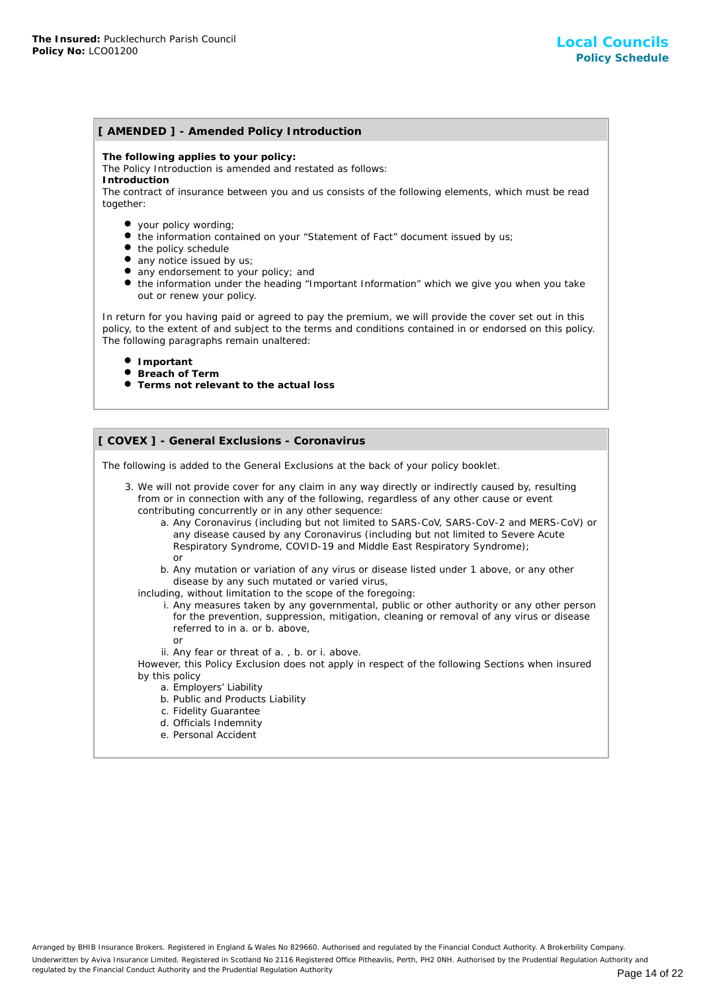## **[ AMENDED ] - Amended Policy Introduction**

**The following applies to your policy:**

The Policy Introduction is amended and restated as follows:

**Introduction**

The contract of insurance between you and us consists of the following elements, which must be read together:

- your policy wording;
- the information contained on your "Statement of Fact" document issued by us;
- the policy schedule
- any notice issued by us;
- any endorsement to your policy; and
- the information under the heading "Important Information" which we give you when you take out or renew your policy.

In return for you having paid or agreed to pay the premium, we will provide the cover set out in this policy, to the extent of and subject to the terms and conditions contained in or endorsed on this policy. The following paragraphs remain unaltered:

- **Important**
- **Breach of Term**
- **Terms not relevant to the actual loss**

## **[ COVEX ] - General Exclusions - Coronavirus**

The following is added to the General Exclusions at the back of your policy booklet.

- 3. We will not provide cover for any claim in any way directly or indirectly caused by, resulting from or in connection with any of the following, regardless of any other cause or event contributing concurrently or in any other sequence:
	- a. Any Coronavirus (including but not limited to SARS-CoV, SARS-CoV-2 and MERS-CoV) or any disease caused by any Coronavirus (including but not limited to Severe Acute Respiratory Syndrome, COVID-19 and Middle East Respiratory Syndrome); or
	- b. Any mutation or variation of any virus or disease listed under 1 above, or any other disease by any such mutated or varied virus,
	- including, without limitation to the scope of the foregoing:
		- i. Any measures taken by any governmental, public or other authority or any other person for the prevention, suppression, mitigation, cleaning or removal of any virus or disease referred to in a. or b. above,
			- or
		- ii. Any fear or threat of a. , b. or i. above.

However, this Policy Exclusion does not apply in respect of the following Sections when insured by this policy

- a. Employers' Liability
- b. Public and Products Liability
- c. Fidelity Guarantee
- d. Officials Indemnity
- e. Personal Accident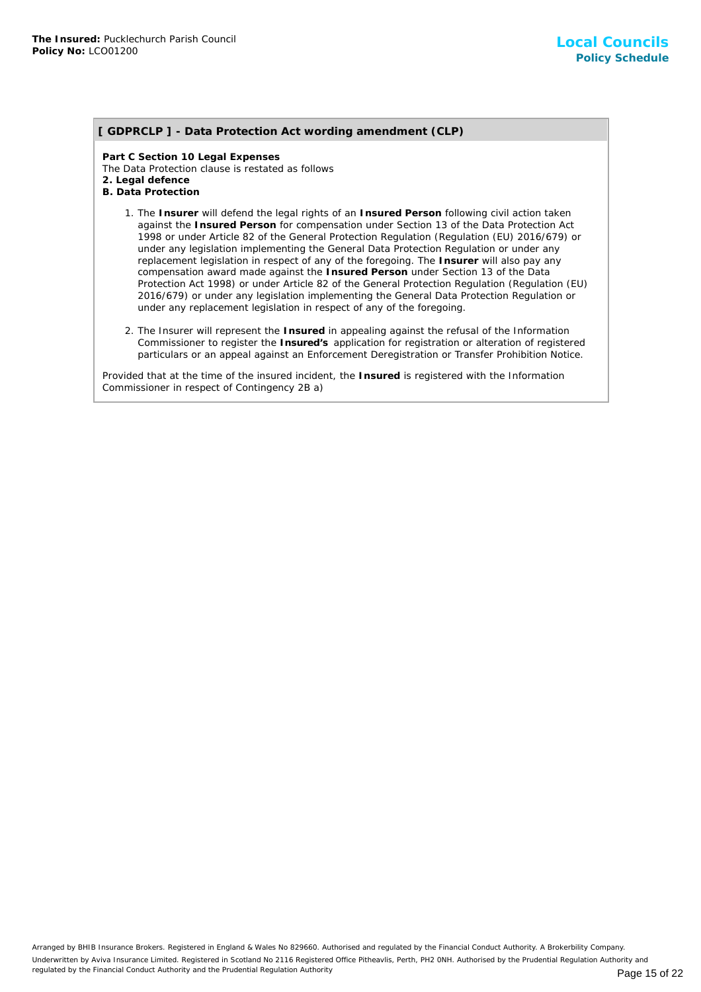## **[ GDPRCLP ] - Data Protection Act wording amendment (CLP)**

**Part C Section 10 Legal Expenses** The Data Protection clause is restated as follows **2. Legal defence B. Data Protection**

- 1. The Insurer will defend the legal rights of an Insured Person following civil action taken against the **Insured Person** for compensation under Section 13 of the Data Protection Act 1998 or under Article 82 of the General Protection Regulation (Regulation (EU) 2016/679) or under any legislation implementing the General Data Protection Regulation or under any replacement legislation in respect of any of the foregoing. The **Insurer** will also pay any compensation award made against the **Insured Person** under Section 13 of the Data Protection Act 1998) or under Article 82 of the General Protection Regulation (Regulation (EU) 2016/679) or under any legislation implementing the General Data Protection Regulation or under any replacement legislation in respect of any of the foregoing.
- 2. The Insurer will represent the Insured in appealing against the refusal of the Information Commissioner to register the **Insured's** application for registration or alteration of registered particulars or an appeal against an Enforcement Deregistration or Transfer Prohibition Notice.

Provided that at the time of the insured incident, the **Insured** is registered with the Information Commissioner in respect of Contingency 2B a)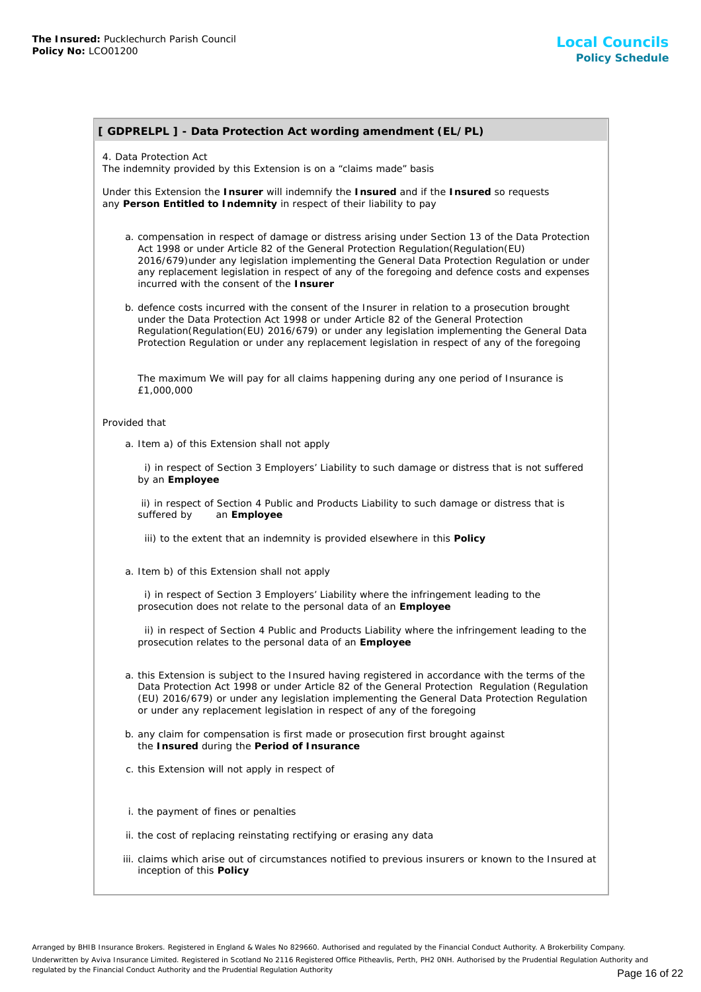# **[ GDPRELPL ] - Data Protection Act wording amendment (EL/PL)**

4. Data Protection Act

The indemnity provided by this Extension is on a "claims made" basis

Under this Extension the **Insurer** will indemnify the **Insured** and if the **Insured** so requests any **Person Entitled to Indemnity** in respect of their liability to pay

- a. compensation in respect of damage or distress arising under Section 13 of the Data Protection Act 1998 or under Article 82 of the General Protection Regulation(Regulation(EU) 2016/679)under any legislation implementing the General Data Protection Regulation or under any replacement legislation in respect of any of the foregoing and defence costs and expenses incurred with the consent of the **Insurer**
- b. defence costs incurred with the consent of the Insurer in relation to a prosecution brought under the Data Protection Act 1998 or under Article 82 of the General Protection Regulation(Regulation(EU) 2016/679) or under any legislation implementing the General Data Protection Regulation or under any replacement legislation in respect of any of the foregoing

The maximum We will pay for all claims happening during any one period of Insurance is £1,000,000

#### Provided that

a. Item a) of this Extension shall not apply

 i) in respect of Section 3 Employers' Liability to such damage or distress that is not suffered by an **Employee**

 ii) in respect of Section 4 Public and Products Liability to such damage or distress that is suffered by an **Employee**

iii) to the extent that an indemnity is provided elsewhere in this **Policy**

a. Item b) of this Extension shall not apply

 i) in respect of Section 3 Employers' Liability where the infringement leading to the prosecution does not relate to the personal data of an **Employee**

 ii) in respect of Section 4 Public and Products Liability where the infringement leading to the prosecution relates to the personal data of an **Employee**

- a. this Extension is subject to the Insured having registered in accordance with the terms of the Data Protection Act 1998 or under Article 82 of the General Protection Regulation (Regulation (EU) 2016/679) or under any legislation implementing the General Data Protection Regulation or under any replacement legislation in respect of any of the foregoing
- b. any claim for compensation is first made or prosecution first brought against the **Insured** during the **Period of Insurance**
- c. this Extension will not apply in respect of
- i. the payment of fines or penalties
- ii. the cost of replacing reinstating rectifying or erasing any data
- iii. claims which arise out of circumstances notified to previous insurers or known to the Insured at inception of this **Policy**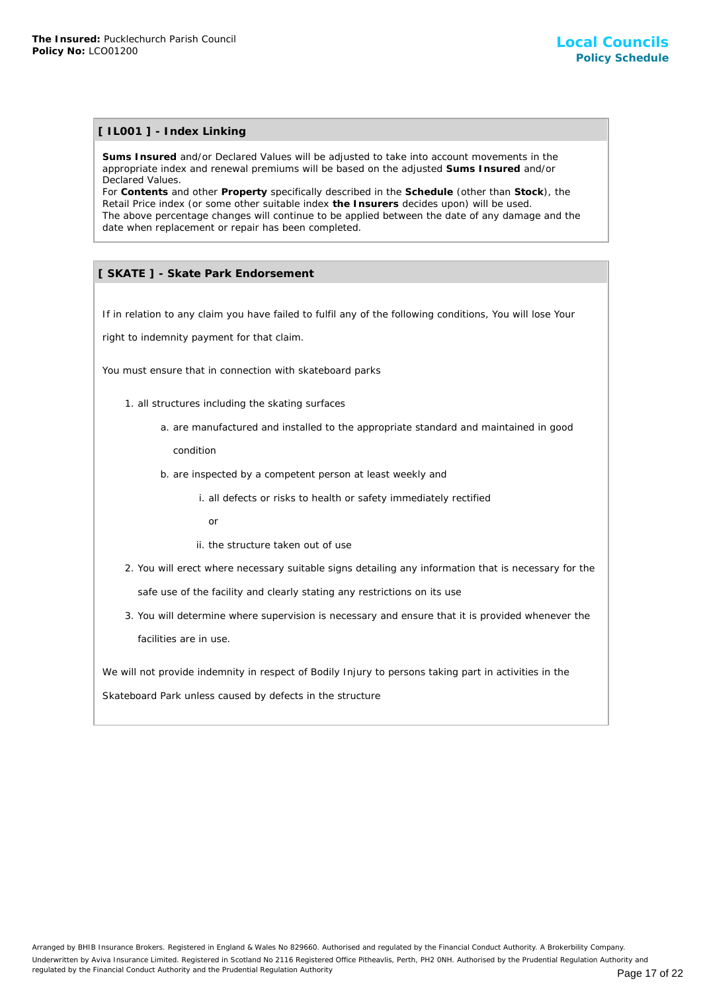## **[ IL001 ] - Index Linking**

**Sums Insured** and/or Declared Values will be adjusted to take into account movements in the appropriate index and renewal premiums will be based on the adjusted **Sums Insured** and/or Declared Values.

For **Contents** and other **Property** specifically described in the **Schedule** (other than **Stock**), the Retail Price index (or some other suitable index **the Insurers** decides upon) will be used. The above percentage changes will continue to be applied between the date of any damage and the date when replacement or repair has been completed.

## **[ SKATE ] - Skate Park Endorsement**

If in relation to any claim you have failed to fulfil any of the following conditions, You will lose Your

right to indemnity payment for that claim.

You must ensure that in connection with skateboard parks

- 1. all structures including the skating surfaces
	- a. are manufactured and installed to the appropriate standard and maintained in good

condition

- b. are inspected by a competent person at least weekly and
	- i. all defects or risks to health or safety immediately rectified
		- or
	- ii. the structure taken out of use
- 2. You will erect where necessary suitable signs detailing any information that is necessary for the safe use of the facility and clearly stating any restrictions on its use
- 3. You will determine where supervision is necessary and ensure that it is provided whenever the facilities are in use.

We will not provide indemnity in respect of Bodily Injury to persons taking part in activities in the

Skateboard Park unless caused by defects in the structure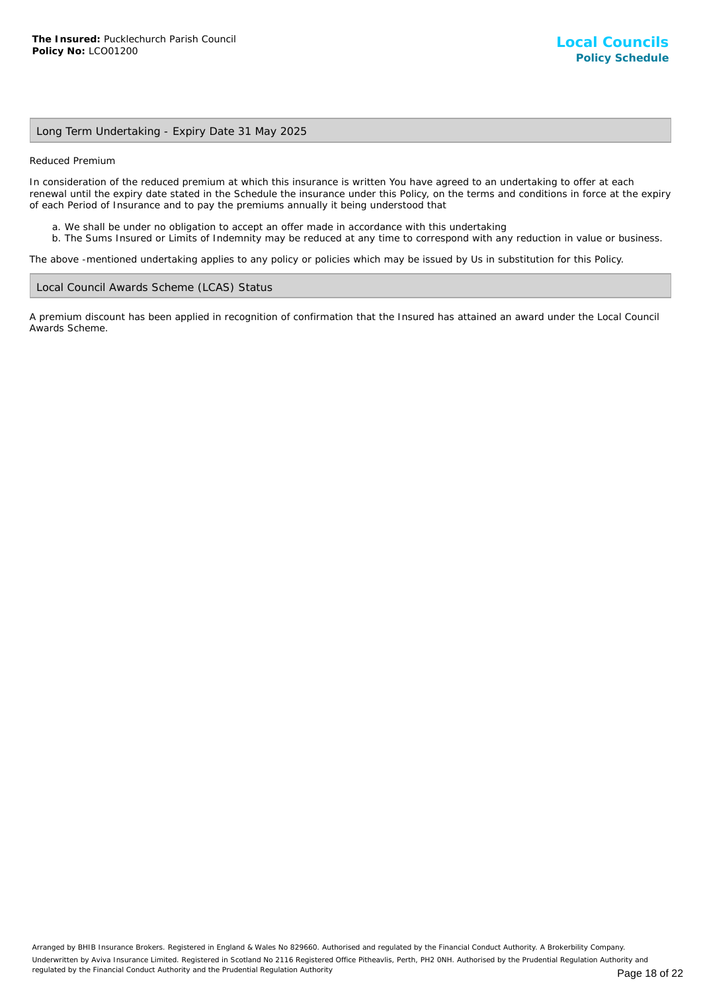## Long Term Undertaking - Expiry Date 31 May 2025

Reduced Premium

In consideration of the reduced premium at which this insurance is written You have agreed to an undertaking to offer at each renewal until the expiry date stated in the Schedule the insurance under this Policy, on the terms and conditions in force at the expiry of each Period of Insurance and to pay the premiums annually it being understood that

- a. We shall be under no obligation to accept an offer made in accordance with this undertaking
- b. The Sums Insured or Limits of Indemnity may be reduced at any time to correspond with any reduction in value or business.

The above -mentioned undertaking applies to any policy or policies which may be issued by Us in substitution for this Policy.

#### Local Council Awards Scheme (LCAS) Status

A premium discount has been applied in recognition of confirmation that the Insured has attained an award under the Local Council Awards Scheme.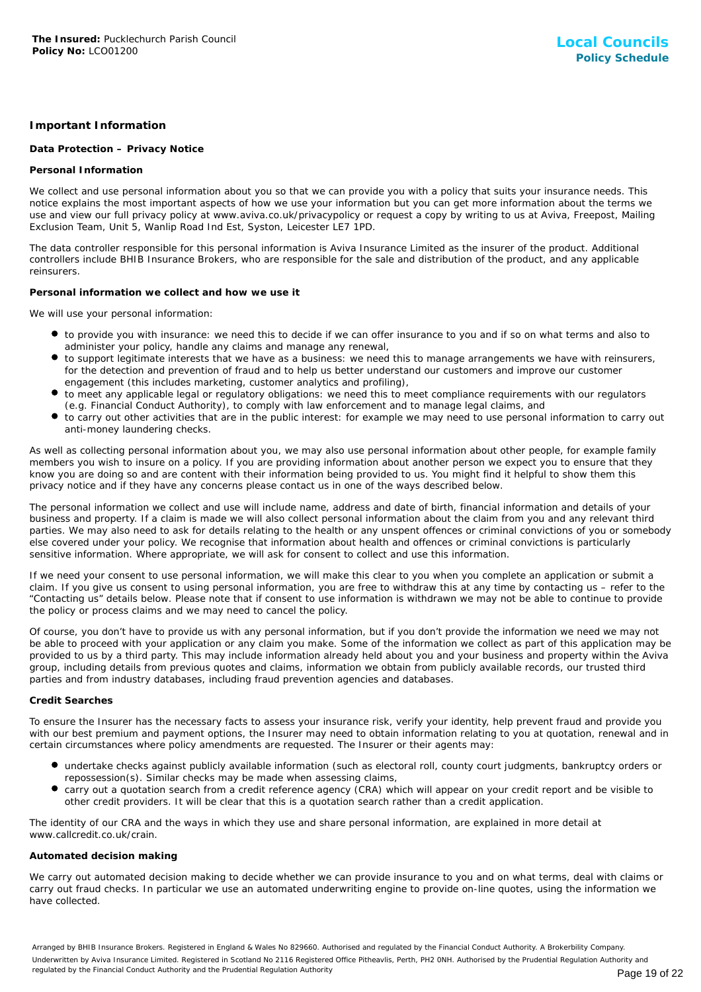## **Important Information**

## **Data Protection – Privacy Notice**

## **Personal Information**

We collect and use personal information about you so that we can provide you with a policy that suits your insurance needs. This notice explains the most important aspects of how we use your information but you can get more information about the terms we use and view our full privacy policy at www.aviva.co.uk/privacypolicy or request a copy by writing to us at Aviva, Freepost, Mailing Exclusion Team, Unit 5, Wanlip Road Ind Est, Syston, Leicester LE7 1PD.

The data controller responsible for this personal information is Aviva Insurance Limited as the insurer of the product. Additional controllers include BHIB Insurance Brokers, who are responsible for the sale and distribution of the product, and any applicable reinsurers.

#### **Personal information we collect and how we use it**

We will use your personal information:

- to provide you with insurance: we need this to decide if we can offer insurance to you and if so on what terms and also to administer your policy, handle any claims and manage any renewal,
- to support legitimate interests that we have as a business: we need this to manage arrangements we have with reinsurers, for the detection and prevention of fraud and to help us better understand our customers and improve our customer engagement (this includes marketing, customer analytics and profiling),
- to meet any applicable legal or regulatory obligations: we need this to meet compliance requirements with our regulators (e.g. Financial Conduct Authority), to comply with law enforcement and to manage legal claims, and
- to carry out other activities that are in the public interest: for example we may need to use personal information to carry out anti-money laundering checks.

As well as collecting personal information about you, we may also use personal information about other people, for example family members you wish to insure on a policy. If you are providing information about another person we expect you to ensure that they know you are doing so and are content with their information being provided to us. You might find it helpful to show them this privacy notice and if they have any concerns please contact us in one of the ways described below.

The personal information we collect and use will include name, address and date of birth, financial information and details of your business and property. If a claim is made we will also collect personal information about the claim from you and any relevant third parties. We may also need to ask for details relating to the health or any unspent offences or criminal convictions of you or somebody else covered under your policy. We recognise that information about health and offences or criminal convictions is particularly sensitive information. Where appropriate, we will ask for consent to collect and use this information.

If we need your consent to use personal information, we will make this clear to you when you complete an application or submit a claim. If you give us consent to using personal information, you are free to withdraw this at any time by contacting us – refer to the "Contacting us" details below. Please note that if consent to use information is withdrawn we may not be able to continue to provide the policy or process claims and we may need to cancel the policy.

Of course, you don't have to provide us with any personal information, but if you don't provide the information we need we may not be able to proceed with your application or any claim you make. Some of the information we collect as part of this application may be provided to us by a third party. This may include information already held about you and your business and property within the Aviva group, including details from previous quotes and claims, information we obtain from publicly available records, our trusted third parties and from industry databases, including fraud prevention agencies and databases.

#### **Credit Searches**

To ensure the Insurer has the necessary facts to assess your insurance risk, verify your identity, help prevent fraud and provide you with our best premium and payment options, the Insurer may need to obtain information relating to you at quotation, renewal and in certain circumstances where policy amendments are requested. The Insurer or their agents may:

- undertake checks against publicly available information (such as electoral roll, county court judgments, bankruptcy orders or repossession(s). Similar checks may be made when assessing claims,
- carry out a quotation search from a credit reference agency (CRA) which will appear on your credit report and be visible to other credit providers. It will be clear that this is a quotation search rather than a credit application.

The identity of our CRA and the ways in which they use and share personal information, are explained in more detail at www.callcredit.co.uk/crain.

#### **Automated decision making**

We carry out automated decision making to decide whether we can provide insurance to you and on what terms, deal with claims or carry out fraud checks. In particular we use an automated underwriting engine to provide on-line quotes, using the information we have collected.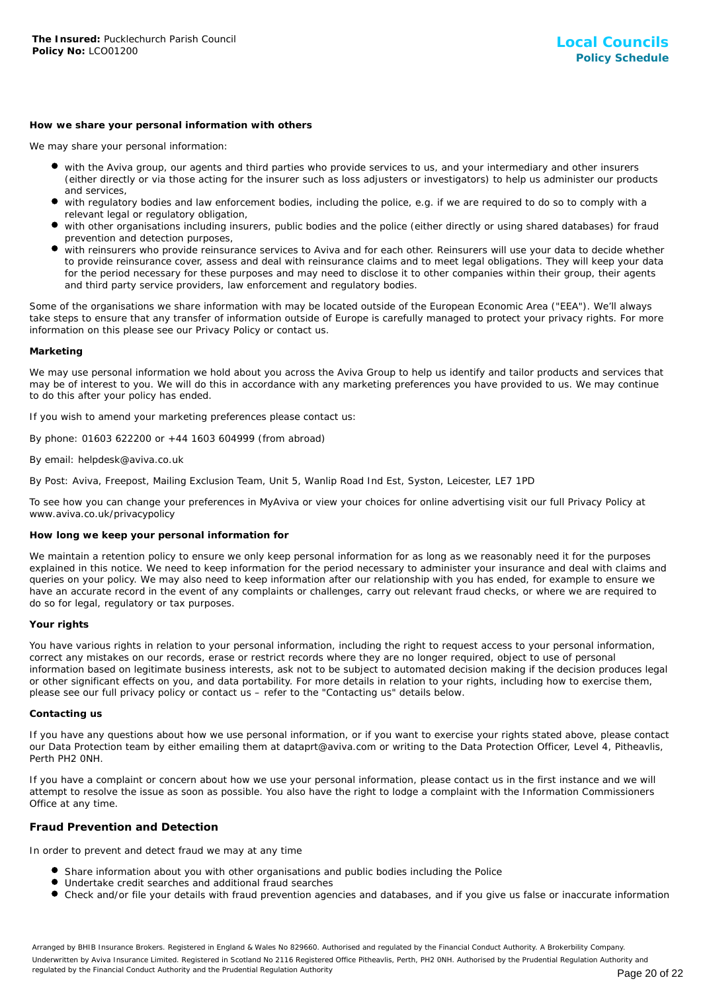#### **How we share your personal information with others**

We may share your personal information:

- with the Aviva group, our agents and third parties who provide services to us, and your intermediary and other insurers (either directly or via those acting for the insurer such as loss adjusters or investigators) to help us administer our products and services,
- with regulatory bodies and law enforcement bodies, including the police, e.g. if we are required to do so to comply with a relevant legal or regulatory obligation,
- with other organisations including insurers, public bodies and the police (either directly or using shared databases) for fraud prevention and detection purposes,
- with reinsurers who provide reinsurance services to Aviva and for each other. Reinsurers will use your data to decide whether to provide reinsurance cover, assess and deal with reinsurance claims and to meet legal obligations. They will keep your data for the period necessary for these purposes and may need to disclose it to other companies within their group, their agents and third party service providers, law enforcement and regulatory bodies.

Some of the organisations we share information with may be located outside of the European Economic Area ("EEA"). We'll always take steps to ensure that any transfer of information outside of Europe is carefully managed to protect your privacy rights. For more information on this please see our Privacy Policy or contact us.

#### **Marketing**

We may use personal information we hold about you across the Aviva Group to help us identify and tailor products and services that may be of interest to you. We will do this in accordance with any marketing preferences you have provided to us. We may continue to do this after your policy has ended.

If you wish to amend your marketing preferences please contact us:

By phone: 01603 622200 or +44 1603 604999 (from abroad)

#### By email: helpdesk@aviva.co.uk

By Post: Aviva, Freepost, Mailing Exclusion Team, Unit 5, Wanlip Road Ind Est, Syston, Leicester, LE7 1PD

To see how you can change your preferences in MyAviva or view your choices for online advertising visit our full Privacy Policy at www.aviva.co.uk/privacypolicy

#### **How long we keep your personal information for**

We maintain a retention policy to ensure we only keep personal information for as long as we reasonably need it for the purposes explained in this notice. We need to keep information for the period necessary to administer your insurance and deal with claims and queries on your policy. We may also need to keep information after our relationship with you has ended, for example to ensure we have an accurate record in the event of any complaints or challenges, carry out relevant fraud checks, or where we are required to do so for legal, regulatory or tax purposes.

#### **Your rights**

You have various rights in relation to your personal information, including the right to request access to your personal information, correct any mistakes on our records, erase or restrict records where they are no longer required, object to use of personal information based on legitimate business interests, ask not to be subject to automated decision making if the decision produces legal or other significant effects on you, and data portability. For more details in relation to your rights, including how to exercise them, please see our full privacy policy or contact us – refer to the "Contacting us" details below.

#### **Contacting us**

If you have any questions about how we use personal information, or if you want to exercise your rights stated above, please contact our Data Protection team by either emailing them at dataprt@aviva.com or writing to the Data Protection Officer, Level 4, Pitheavlis, Perth PH2 0NH.

If you have a complaint or concern about how we use your personal information, please contact us in the first instance and we will attempt to resolve the issue as soon as possible. You also have the right to lodge a complaint with the Information Commissioners Office at any time.

## **Fraud Prevention and Detection**

In order to prevent and detect fraud we may at any time

- **Share information about you with other organisations and public bodies including the Police**
- Undertake credit searches and additional fraud searches
- Check and/or file your details with fraud prevention agencies and databases, and if you give us false or inaccurate information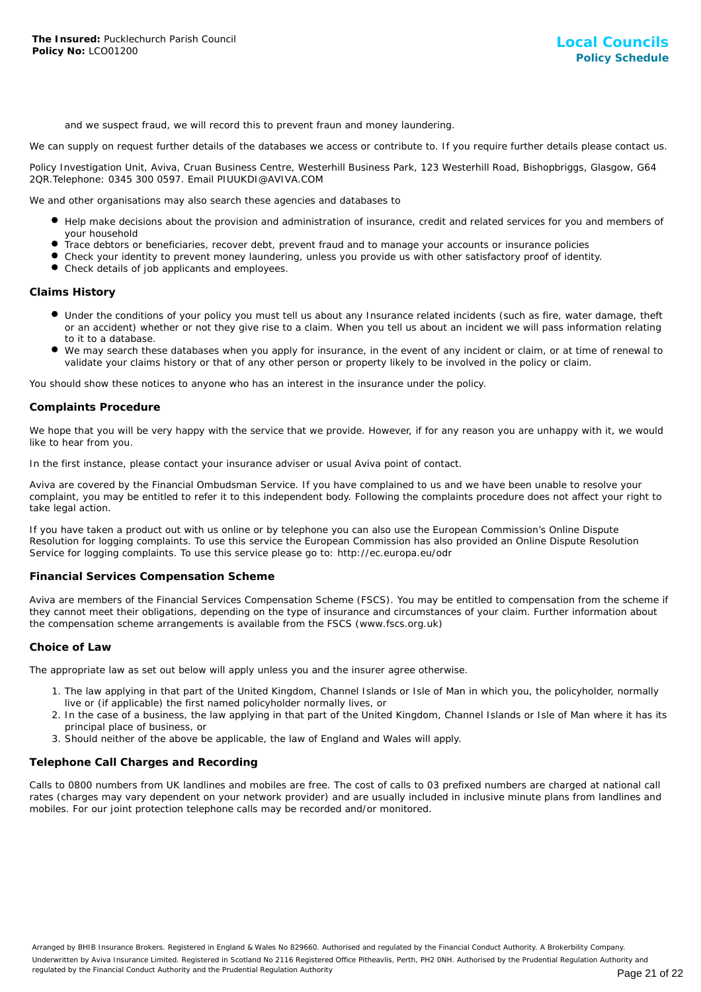and we suspect fraud, we will record this to prevent fraun and money laundering.

We can supply on request further details of the databases we access or contribute to. If you require further details please contact us.

Policy Investigation Unit, Aviva, Cruan Business Centre, Westerhill Business Park, 123 Westerhill Road, Bishopbriggs, Glasgow, G64 2QR.Telephone: 0345 300 0597. Email PIUUKDI@AVIVA.COM

We and other organisations may also search these agencies and databases to

- Help make decisions about the provision and administration of insurance, credit and related services for you and members of your household
- Trace debtors or beneficiaries, recover debt, prevent fraud and to manage your accounts or insurance policies
- Check your identity to prevent money laundering, unless you provide us with other satisfactory proof of identity.
- Check details of job applicants and employees.

## **Claims History**

- Under the conditions of your policy you must tell us about any Insurance related incidents (such as fire, water damage, theft or an accident) whether or not they give rise to a claim. When you tell us about an incident we will pass information relating to it to a database.
- We may search these databases when you apply for insurance, in the event of any incident or claim, or at time of renewal to validate your claims history or that of any other person or property likely to be involved in the policy or claim.

You should show these notices to anyone who has an interest in the insurance under the policy.

## **Complaints Procedure**

We hope that you will be very happy with the service that we provide. However, if for any reason you are unhappy with it, we would like to hear from you.

In the first instance, please contact your insurance adviser or usual Aviva point of contact.

Aviva are covered by the Financial Ombudsman Service. If you have complained to us and we have been unable to resolve your complaint, you may be entitled to refer it to this independent body. Following the complaints procedure does not affect your right to take legal action.

If you have taken a product out with us online or by telephone you can also use the European Commission's Online Dispute Resolution for logging complaints. To use this service the European Commission has also provided an Online Dispute Resolution Service for logging complaints. To use this service please go to: http://ec.europa.eu/odr

#### **Financial Services Compensation Scheme**

Aviva are members of the Financial Services Compensation Scheme (FSCS). You may be entitled to compensation from the scheme if they cannot meet their obligations, depending on the type of insurance and circumstances of your claim. Further information about the compensation scheme arrangements is available from the FSCS (www.fscs.org.uk)

#### **Choice of Law**

The appropriate law as set out below will apply unless you and the insurer agree otherwise.

- 1. The law applying in that part of the United Kingdom, Channel Islands or Isle of Man in which you, the policyholder, normally live or (if applicable) the first named policyholder normally lives, or
- 2. In the case of a business, the law applying in that part of the United Kingdom, Channel Islands or Isle of Man where it has its principal place of business, or
- 3. Should neither of the above be applicable, the law of England and Wales will apply.

## **Telephone Call Charges and Recording**

Calls to 0800 numbers from UK landlines and mobiles are free. The cost of calls to 03 prefixed numbers are charged at national call rates (charges may vary dependent on your network provider) and are usually included in inclusive minute plans from landlines and mobiles. For our joint protection telephone calls may be recorded and/or monitored.